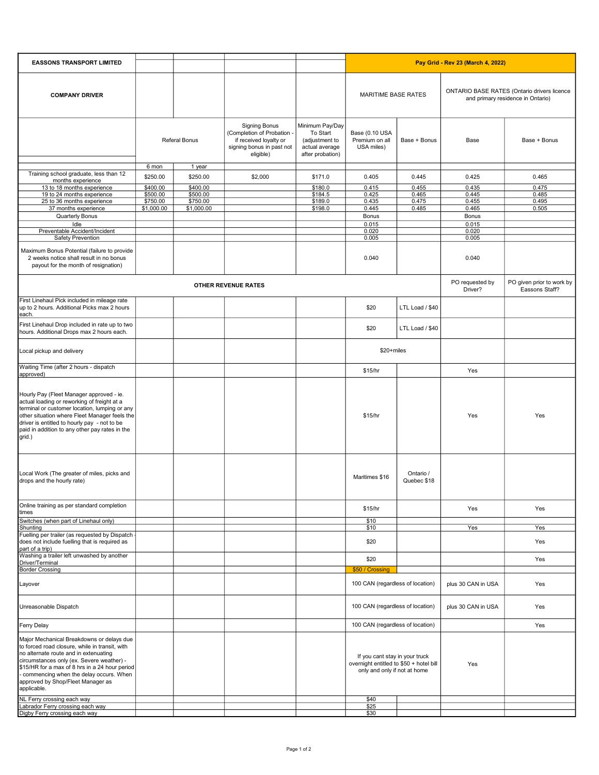| <b>EASSONS TRANSPORT LIMITED</b>                                                                                                                                                                                                                                                                                                  |               |            |                                                                                                                        |                                                                                     | Pay Grid - Rev 23 (March 4, 2022)                                                                         |                          |                                                                                  |                                             |
|-----------------------------------------------------------------------------------------------------------------------------------------------------------------------------------------------------------------------------------------------------------------------------------------------------------------------------------|---------------|------------|------------------------------------------------------------------------------------------------------------------------|-------------------------------------------------------------------------------------|-----------------------------------------------------------------------------------------------------------|--------------------------|----------------------------------------------------------------------------------|---------------------------------------------|
| <b>COMPANY DRIVER</b>                                                                                                                                                                                                                                                                                                             |               |            |                                                                                                                        |                                                                                     | MARITIME BASE RATES                                                                                       |                          | ONTARIO BASE RATES (Ontario drivers licence<br>and primary residence in Ontario) |                                             |
|                                                                                                                                                                                                                                                                                                                                   | Referal Bonus |            | <b>Signing Bonus</b><br>(Completion of Probation -<br>if received loyalty or<br>signing bonus in past not<br>eligible) | Minimum Pay/Day<br>To Start<br>(adjustment to<br>actual average<br>after probation) | Base (0.10 USA<br>Premium on all<br>USA miles)                                                            | Base + Bonus             | Base                                                                             | Base + Bonus                                |
|                                                                                                                                                                                                                                                                                                                                   | 6 mon         | 1 year     |                                                                                                                        |                                                                                     |                                                                                                           |                          |                                                                                  |                                             |
| Training school graduate, less than 12<br>months experience                                                                                                                                                                                                                                                                       | \$250.00      | \$250.00   | \$2,000                                                                                                                | \$171.0                                                                             | 0.405                                                                                                     | 0.445                    | 0.425                                                                            | 0.465                                       |
| 13 to 18 months experience                                                                                                                                                                                                                                                                                                        | \$400.00      | \$400.00   |                                                                                                                        | \$180.0                                                                             | 0.415                                                                                                     | 0.455                    | 0.435                                                                            | 0.475                                       |
| 19 to 24 months experience                                                                                                                                                                                                                                                                                                        | \$500.00      | \$500.00   |                                                                                                                        | \$184.5                                                                             | 0.425                                                                                                     | 0.465                    | 0.445                                                                            | 0.485                                       |
| 25 to 36 months experience                                                                                                                                                                                                                                                                                                        | \$750.00      | \$750.00   |                                                                                                                        | \$189.0                                                                             | 0.435                                                                                                     | 0.475                    | 0.455                                                                            | 0.495                                       |
| 37 months experience                                                                                                                                                                                                                                                                                                              | \$1,000.00    | \$1,000.00 |                                                                                                                        | \$198.0                                                                             | 0.445                                                                                                     | 0.485                    | 0.465                                                                            | 0.505                                       |
| Quarterly Bonus                                                                                                                                                                                                                                                                                                                   |               |            |                                                                                                                        |                                                                                     | Bonus                                                                                                     |                          | Bonus                                                                            |                                             |
| Idle<br>Preventable Accident/Incident                                                                                                                                                                                                                                                                                             |               |            |                                                                                                                        |                                                                                     | 0.015<br>0.020                                                                                            |                          | 0.015<br>0.020                                                                   |                                             |
| Safety Prevention                                                                                                                                                                                                                                                                                                                 |               |            |                                                                                                                        |                                                                                     | 0.005                                                                                                     |                          | 0.005                                                                            |                                             |
| Maximum Bonus Potential (failure to provide<br>2 weeks notice shall result in no bonus<br>payout for the month of resignation)                                                                                                                                                                                                    |               |            |                                                                                                                        |                                                                                     | 0.040                                                                                                     |                          | 0.040                                                                            |                                             |
| <b>OTHER REVENUE RATES</b>                                                                                                                                                                                                                                                                                                        |               |            |                                                                                                                        |                                                                                     |                                                                                                           |                          | PO requested by<br>Driver?                                                       | PO given prior to work by<br>Eassons Staff? |
| First Linehaul Pick included in mileage rate<br>up to 2 hours. Additional Picks max 2 hours<br>each.                                                                                                                                                                                                                              |               |            |                                                                                                                        |                                                                                     | \$20                                                                                                      | LTL Load / \$40          |                                                                                  |                                             |
| First Linehaul Drop included in rate up to two<br>hours. Additional Drops max 2 hours each.                                                                                                                                                                                                                                       |               |            |                                                                                                                        |                                                                                     | \$20                                                                                                      | LTL Load / \$40          |                                                                                  |                                             |
| Local pickup and delivery                                                                                                                                                                                                                                                                                                         |               |            |                                                                                                                        |                                                                                     | $$20 + miles$                                                                                             |                          |                                                                                  |                                             |
| Waiting Time (after 2 hours - dispatch<br>approved)                                                                                                                                                                                                                                                                               |               |            |                                                                                                                        |                                                                                     | \$15/hr                                                                                                   |                          | Yes                                                                              |                                             |
| Hourly Pay (Fleet Manager approved - ie.<br>actual loading or reworking of freight at a<br>terminal or customer location, lumping or any<br>other situation where Fleet Manager feels the<br>driver is entitled to hourly pay - not to be<br>paid in addition to any other pay rates in the<br>grid.)                             |               |            |                                                                                                                        |                                                                                     | \$15/hr                                                                                                   |                          | Yes                                                                              | Yes                                         |
| Local Work (The greater of miles, picks and<br>drops and the hourly rate)                                                                                                                                                                                                                                                         |               |            |                                                                                                                        |                                                                                     | Maritimes \$16                                                                                            | Ontario /<br>Quebec \$18 |                                                                                  |                                             |
| Online training as per standard completion<br>times                                                                                                                                                                                                                                                                               |               |            |                                                                                                                        |                                                                                     | \$15/hr                                                                                                   |                          | Yes                                                                              | Yes                                         |
| Switches (when part of Linehaul only)<br>Shunting                                                                                                                                                                                                                                                                                 |               |            |                                                                                                                        |                                                                                     | \$10<br>\$10                                                                                              |                          | Yes                                                                              | Yes                                         |
| Fuelling per trailer (as requested by Dispatch -<br>does not include fuelling that is required as                                                                                                                                                                                                                                 |               |            |                                                                                                                        |                                                                                     | \$20                                                                                                      |                          |                                                                                  | Yes                                         |
| part of a trip)<br>Washing a trailer left unwashed by another<br>Driver/Terminal                                                                                                                                                                                                                                                  |               |            |                                                                                                                        |                                                                                     | \$20                                                                                                      |                          |                                                                                  | Yes                                         |
| <b>Border Crossing</b>                                                                                                                                                                                                                                                                                                            |               |            |                                                                                                                        |                                                                                     | \$50 / Crossing                                                                                           |                          |                                                                                  |                                             |
| Layover                                                                                                                                                                                                                                                                                                                           |               |            |                                                                                                                        |                                                                                     | 100 CAN (regardless of location)                                                                          |                          | plus 30 CAN in USA                                                               | Yes                                         |
| Unreasonable Dispatch                                                                                                                                                                                                                                                                                                             |               |            |                                                                                                                        |                                                                                     | 100 CAN (regardless of location)                                                                          |                          | plus 30 CAN in USA                                                               | Yes                                         |
| <b>Ferry Delay</b>                                                                                                                                                                                                                                                                                                                |               |            |                                                                                                                        |                                                                                     | 100 CAN (regardless of location)                                                                          |                          |                                                                                  | Yes                                         |
| Major Mechanical Breakdowns or delays due<br>to forced road closure, while in transit, with<br>no alternate route and in extenuating<br>circumstances only (ex. Severe weather) -<br>\$15/HR for a max of 8 hrs in a 24 hour period<br>commencing when the delay occurs. When<br>approved by Shop/Fleet Manager as<br>applicable. |               |            |                                                                                                                        |                                                                                     | If you cant stay in your truck<br>overnight entitled to \$50 + hotel bill<br>only and only if not at home |                          | Yes                                                                              |                                             |
| NL Ferry crossing each way                                                                                                                                                                                                                                                                                                        |               |            |                                                                                                                        |                                                                                     | \$40                                                                                                      |                          |                                                                                  |                                             |
| Labrador Ferry crossing each way<br>Digby Ferry crossing each way                                                                                                                                                                                                                                                                 |               |            |                                                                                                                        |                                                                                     | \$25<br>\$30                                                                                              |                          |                                                                                  |                                             |